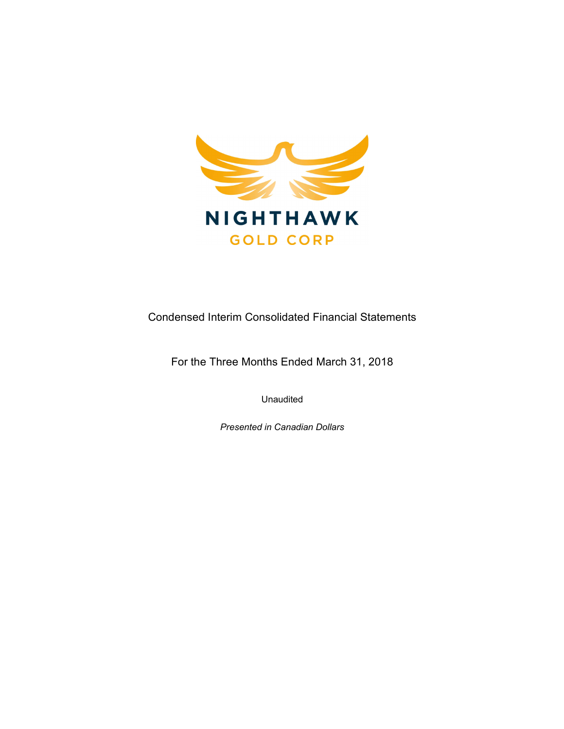

Condensed Interim Consolidated Financial Statements

For the Three Months Ended March 31, 2018

Unaudited

Presented in Canadian Dollars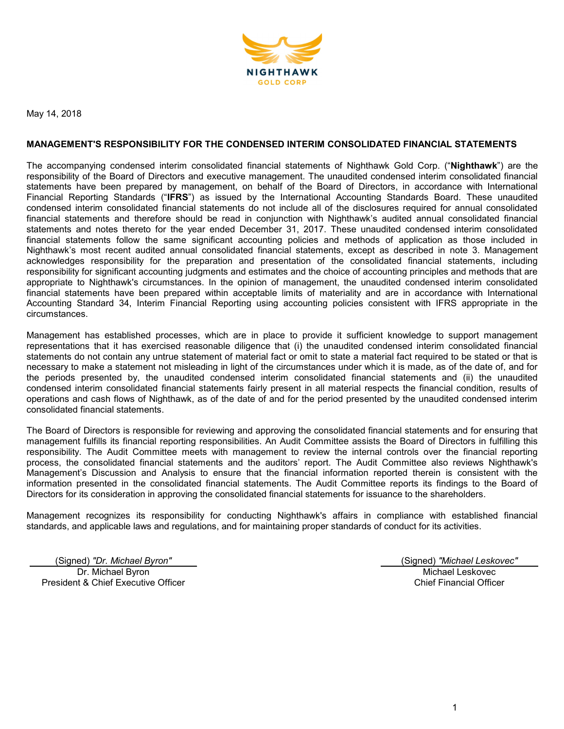

May 14, 2018

#### MANAGEMENT'S RESPONSIBILITY FOR THE CONDENSED INTERIM CONSOLIDATED FINANCIAL STATEMENTS

The accompanying condensed interim consolidated financial statements of Nighthawk Gold Corp. ("Nighthawk") are the responsibility of the Board of Directors and executive management. The unaudited condensed interim consolidated financial statements have been prepared by management, on behalf of the Board of Directors, in accordance with International Financial Reporting Standards ("IFRS") as issued by the International Accounting Standards Board. These unaudited condensed interim consolidated financial statements do not include all of the disclosures required for annual consolidated financial statements and therefore should be read in conjunction with Nighthawk's audited annual consolidated financial statements and notes thereto for the year ended December 31, 2017. These unaudited condensed interim consolidated financial statements follow the same significant accounting policies and methods of application as those included in Nighthawk's most recent audited annual consolidated financial statements, except as described in note 3. Management acknowledges responsibility for the preparation and presentation of the consolidated financial statements, including responsibility for significant accounting judgments and estimates and the choice of accounting principles and methods that are appropriate to Nighthawk's circumstances. In the opinion of management, the unaudited condensed interim consolidated financial statements have been prepared within acceptable limits of materiality and are in accordance with International Accounting Standard 34, Interim Financial Reporting using accounting policies consistent with IFRS appropriate in the circumstances.

Management has established processes, which are in place to provide it sufficient knowledge to support management representations that it has exercised reasonable diligence that (i) the unaudited condensed interim consolidated financial statements do not contain any untrue statement of material fact or omit to state a material fact required to be stated or that is necessary to make a statement not misleading in light of the circumstances under which it is made, as of the date of, and for the periods presented by, the unaudited condensed interim consolidated financial statements and (ii) the unaudited condensed interim consolidated financial statements fairly present in all material respects the financial condition, results of operations and cash flows of Nighthawk, as of the date of and for the period presented by the unaudited condensed interim consolidated financial statements.

The Board of Directors is responsible for reviewing and approving the consolidated financial statements and for ensuring that management fulfills its financial reporting responsibilities. An Audit Committee assists the Board of Directors in fulfilling this responsibility. The Audit Committee meets with management to review the internal controls over the financial reporting process, the consolidated financial statements and the auditors' report. The Audit Committee also reviews Nighthawk's Management's Discussion and Analysis to ensure that the financial information reported therein is consistent with the information presented in the consolidated financial statements. The Audit Committee reports its findings to the Board of Directors for its consideration in approving the consolidated financial statements for issuance to the shareholders.

Management recognizes its responsibility for conducting Nighthawk's affairs in compliance with established financial standards, and applicable laws and regulations, and for maintaining proper standards of conduct for its activities.

(Signed) "Dr. Michael Byron" (Signed) "Michael Leskovec" Dr. Michael Byron President & Chief Executive Officer

Michael Leskovec Chief Financial Officer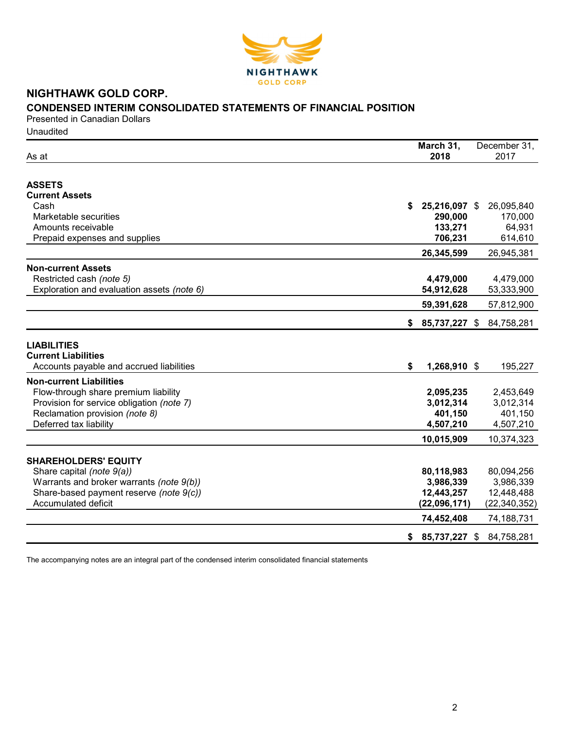

# NIGHTHAWK GOLD CORP.

# CONDENSED INTERIM CONSOLIDATED STATEMENTS OF FINANCIAL POSITION

Presented in Canadian Dollars **Unaudited** 

| Cash<br>25,216,097 \$<br>26,095,840<br>S.<br>Marketable securities<br>290,000<br>170,000<br>Amounts receivable<br>133,271<br>64,931<br>706,231<br>614,610<br>Prepaid expenses and supplies<br>26,345,599<br>26,945,381<br><b>Non-current Assets</b><br>Restricted cash (note 5)<br>4,479,000<br>4,479,000<br>Exploration and evaluation assets (note 6)<br>54,912,628<br>53,333,900<br>59,391,628<br>57,812,900<br>85,737,227 \$<br>84,758,281<br>\$<br><b>LIABILITIES</b><br>Accounts payable and accrued liabilities<br>\$<br>1,268,910 \$<br>195,227<br>Flow-through share premium liability<br>2,095,235<br>2,453,649<br>Provision for service obligation (note 7)<br>3,012,314<br>3,012,314<br>Reclamation provision (note 8)<br>401,150<br>401,150<br>Deferred tax liability<br>4,507,210<br>4,507,210<br>10,015,909<br>10,374,323<br><b>SHAREHOLDERS' EQUITY</b><br>Share capital (note 9(a))<br>80,118,983<br>80,094,256<br>Warrants and broker warrants (note 9(b))<br>3,986,339<br>3,986,339<br>Share-based payment reserve (note 9(c))<br>12,443,257<br>12,448,488<br>Accumulated deficit<br>(22,096,171)<br>(22, 340, 352)<br>74,452,408<br>74,188,731<br>85,737,227 \$<br>84,758,281<br>\$ | As at                          | March 31,<br>2018 | December 31,<br>2017 |
|---------------------------------------------------------------------------------------------------------------------------------------------------------------------------------------------------------------------------------------------------------------------------------------------------------------------------------------------------------------------------------------------------------------------------------------------------------------------------------------------------------------------------------------------------------------------------------------------------------------------------------------------------------------------------------------------------------------------------------------------------------------------------------------------------------------------------------------------------------------------------------------------------------------------------------------------------------------------------------------------------------------------------------------------------------------------------------------------------------------------------------------------------------------------------------------------------------|--------------------------------|-------------------|----------------------|
|                                                                                                                                                                                                                                                                                                                                                                                                                                                                                                                                                                                                                                                                                                                                                                                                                                                                                                                                                                                                                                                                                                                                                                                                         |                                |                   |                      |
|                                                                                                                                                                                                                                                                                                                                                                                                                                                                                                                                                                                                                                                                                                                                                                                                                                                                                                                                                                                                                                                                                                                                                                                                         | <b>ASSETS</b>                  |                   |                      |
|                                                                                                                                                                                                                                                                                                                                                                                                                                                                                                                                                                                                                                                                                                                                                                                                                                                                                                                                                                                                                                                                                                                                                                                                         | <b>Current Assets</b>          |                   |                      |
|                                                                                                                                                                                                                                                                                                                                                                                                                                                                                                                                                                                                                                                                                                                                                                                                                                                                                                                                                                                                                                                                                                                                                                                                         |                                |                   |                      |
|                                                                                                                                                                                                                                                                                                                                                                                                                                                                                                                                                                                                                                                                                                                                                                                                                                                                                                                                                                                                                                                                                                                                                                                                         |                                |                   |                      |
|                                                                                                                                                                                                                                                                                                                                                                                                                                                                                                                                                                                                                                                                                                                                                                                                                                                                                                                                                                                                                                                                                                                                                                                                         |                                |                   |                      |
|                                                                                                                                                                                                                                                                                                                                                                                                                                                                                                                                                                                                                                                                                                                                                                                                                                                                                                                                                                                                                                                                                                                                                                                                         |                                |                   |                      |
|                                                                                                                                                                                                                                                                                                                                                                                                                                                                                                                                                                                                                                                                                                                                                                                                                                                                                                                                                                                                                                                                                                                                                                                                         |                                |                   |                      |
|                                                                                                                                                                                                                                                                                                                                                                                                                                                                                                                                                                                                                                                                                                                                                                                                                                                                                                                                                                                                                                                                                                                                                                                                         |                                |                   |                      |
|                                                                                                                                                                                                                                                                                                                                                                                                                                                                                                                                                                                                                                                                                                                                                                                                                                                                                                                                                                                                                                                                                                                                                                                                         |                                |                   |                      |
|                                                                                                                                                                                                                                                                                                                                                                                                                                                                                                                                                                                                                                                                                                                                                                                                                                                                                                                                                                                                                                                                                                                                                                                                         |                                |                   |                      |
|                                                                                                                                                                                                                                                                                                                                                                                                                                                                                                                                                                                                                                                                                                                                                                                                                                                                                                                                                                                                                                                                                                                                                                                                         |                                |                   |                      |
|                                                                                                                                                                                                                                                                                                                                                                                                                                                                                                                                                                                                                                                                                                                                                                                                                                                                                                                                                                                                                                                                                                                                                                                                         |                                |                   |                      |
|                                                                                                                                                                                                                                                                                                                                                                                                                                                                                                                                                                                                                                                                                                                                                                                                                                                                                                                                                                                                                                                                                                                                                                                                         | <b>Current Liabilities</b>     |                   |                      |
|                                                                                                                                                                                                                                                                                                                                                                                                                                                                                                                                                                                                                                                                                                                                                                                                                                                                                                                                                                                                                                                                                                                                                                                                         | <b>Non-current Liabilities</b> |                   |                      |
|                                                                                                                                                                                                                                                                                                                                                                                                                                                                                                                                                                                                                                                                                                                                                                                                                                                                                                                                                                                                                                                                                                                                                                                                         |                                |                   |                      |
|                                                                                                                                                                                                                                                                                                                                                                                                                                                                                                                                                                                                                                                                                                                                                                                                                                                                                                                                                                                                                                                                                                                                                                                                         |                                |                   |                      |
|                                                                                                                                                                                                                                                                                                                                                                                                                                                                                                                                                                                                                                                                                                                                                                                                                                                                                                                                                                                                                                                                                                                                                                                                         |                                |                   |                      |
|                                                                                                                                                                                                                                                                                                                                                                                                                                                                                                                                                                                                                                                                                                                                                                                                                                                                                                                                                                                                                                                                                                                                                                                                         |                                |                   |                      |
|                                                                                                                                                                                                                                                                                                                                                                                                                                                                                                                                                                                                                                                                                                                                                                                                                                                                                                                                                                                                                                                                                                                                                                                                         |                                |                   |                      |
|                                                                                                                                                                                                                                                                                                                                                                                                                                                                                                                                                                                                                                                                                                                                                                                                                                                                                                                                                                                                                                                                                                                                                                                                         |                                |                   |                      |
|                                                                                                                                                                                                                                                                                                                                                                                                                                                                                                                                                                                                                                                                                                                                                                                                                                                                                                                                                                                                                                                                                                                                                                                                         |                                |                   |                      |
|                                                                                                                                                                                                                                                                                                                                                                                                                                                                                                                                                                                                                                                                                                                                                                                                                                                                                                                                                                                                                                                                                                                                                                                                         |                                |                   |                      |
|                                                                                                                                                                                                                                                                                                                                                                                                                                                                                                                                                                                                                                                                                                                                                                                                                                                                                                                                                                                                                                                                                                                                                                                                         |                                |                   |                      |
|                                                                                                                                                                                                                                                                                                                                                                                                                                                                                                                                                                                                                                                                                                                                                                                                                                                                                                                                                                                                                                                                                                                                                                                                         |                                |                   |                      |
|                                                                                                                                                                                                                                                                                                                                                                                                                                                                                                                                                                                                                                                                                                                                                                                                                                                                                                                                                                                                                                                                                                                                                                                                         |                                |                   |                      |
|                                                                                                                                                                                                                                                                                                                                                                                                                                                                                                                                                                                                                                                                                                                                                                                                                                                                                                                                                                                                                                                                                                                                                                                                         |                                |                   |                      |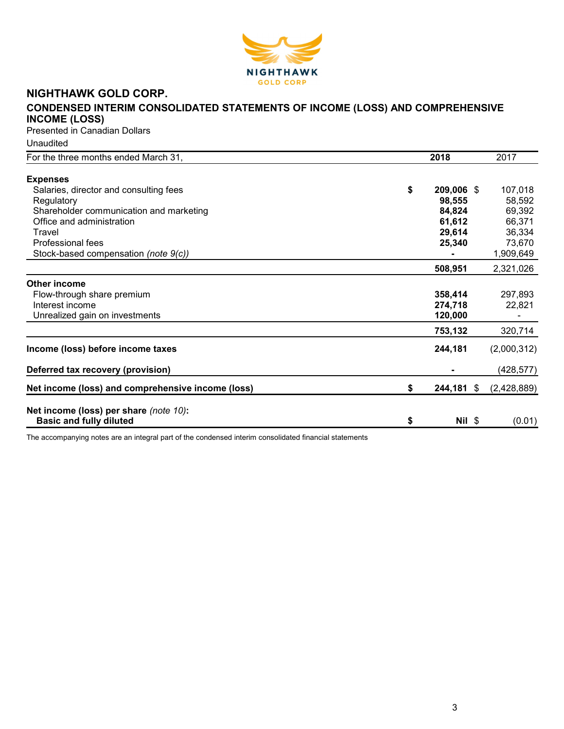

# NIGHTHAWK GOLD CORP.

# CONDENSED INTERIM CONSOLIDATED STATEMENTS OF INCOME (LOSS) AND COMPREHENSIVE INCOME (LOSS)

Presented in Canadian Dollars

Unaudited

| For the three months ended March 31,              | 2018             | 2017        |
|---------------------------------------------------|------------------|-------------|
|                                                   |                  |             |
| <b>Expenses</b>                                   |                  |             |
| Salaries, director and consulting fees            | \$<br>209,006 \$ | 107,018     |
| Regulatory                                        | 98,555           | 58,592      |
| Shareholder communication and marketing           | 84,824           | 69,392      |
| Office and administration                         | 61,612           | 66,371      |
| Travel                                            | 29,614           | 36,334      |
| Professional fees                                 | 25,340           | 73,670      |
| Stock-based compensation (note 9(c))              |                  | 1,909,649   |
|                                                   | 508,951          | 2,321,026   |
| Other income                                      |                  |             |
| Flow-through share premium                        | 358,414          | 297,893     |
| Interest income                                   | 274,718          | 22,821      |
| Unrealized gain on investments                    | 120,000          |             |
|                                                   | 753,132          | 320,714     |
| Income (loss) before income taxes                 | 244,181          | (2,000,312) |
| Deferred tax recovery (provision)                 |                  | (428, 577)  |
| Net income (loss) and comprehensive income (loss) | \$<br>244,181 \$ | (2,428,889) |
| Net income (loss) per share (note 10):            |                  |             |
| <b>Basic and fully diluted</b>                    | \$<br>$Nil$ \$   | (0.01)      |
|                                                   |                  |             |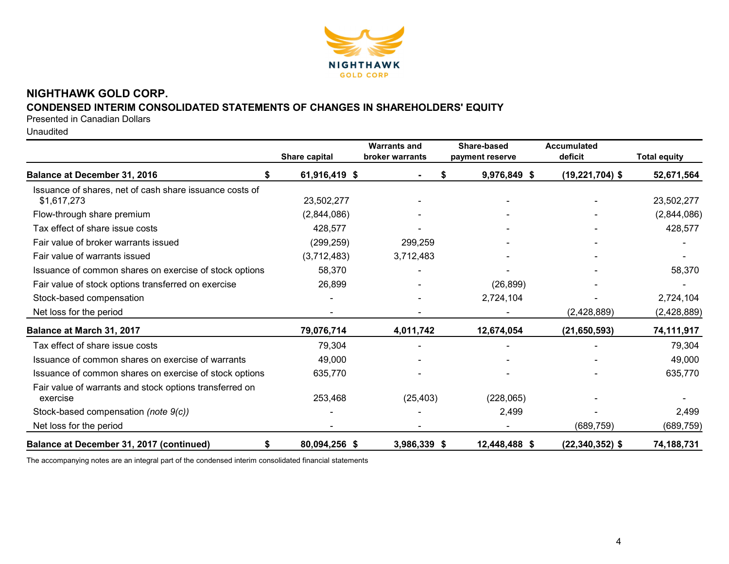

# NIGHTHAWK GOLD CORP.

# CONDENSED INTERIM CONSOLIDATED STATEMENTS OF CHANGES IN SHAREHOLDERS' EQUITY

Presented in Canadian Dollars

Unaudited

|                                                                        | Share capital | <b>Warrants and</b><br>broker warrants | Share-based<br>payment reserve | Accumulated<br>deficit | Total equity |
|------------------------------------------------------------------------|---------------|----------------------------------------|--------------------------------|------------------------|--------------|
| Balance at December 31, 2016                                           | 61,916,419 \$ |                                        | 9,976,849 \$                   | $(19, 221, 704)$ \$    | 52,671,564   |
| Issuance of shares, net of cash share issuance costs of<br>\$1,617,273 | 23,502,277    |                                        |                                |                        | 23,502,277   |
| Flow-through share premium                                             | (2,844,086)   |                                        |                                |                        | (2,844,086)  |
| Tax effect of share issue costs                                        | 428,577       |                                        |                                |                        | 428,577      |
| Fair value of broker warrants issued                                   | (299, 259)    | 299,259                                |                                |                        |              |
| Fair value of warrants issued                                          | (3,712,483)   | 3,712,483                              |                                |                        |              |
| Issuance of common shares on exercise of stock options                 | 58,370        |                                        |                                |                        | 58,370       |
| Fair value of stock options transferred on exercise                    | 26,899        |                                        | (26, 899)                      |                        |              |
| Stock-based compensation                                               |               |                                        | 2,724,104                      |                        | 2,724,104    |
| Net loss for the period                                                |               |                                        |                                | (2,428,889)            | (2,428,889)  |
| Balance at March 31, 2017                                              | 79,076,714    | 4,011,742                              | 12,674,054                     | (21, 650, 593)         | 74,111,917   |
| Tax effect of share issue costs                                        | 79,304        |                                        |                                |                        | 79,304       |
| Issuance of common shares on exercise of warrants                      | 49,000        |                                        |                                |                        | 49,000       |
| Issuance of common shares on exercise of stock options                 | 635,770       |                                        |                                |                        | 635,770      |
| Fair value of warrants and stock options transferred on<br>exercise    | 253,468       | (25, 403)                              | (228,065)                      |                        |              |
| Stock-based compensation (note 9(c))                                   |               |                                        | 2,499                          |                        | 2,499        |
| Net loss for the period                                                |               |                                        |                                | (689, 759)             | (689, 759)   |
| Balance at December 31, 2017 (continued)<br>S                          | 80,094,256 \$ | 3,986,339 \$                           | 12,448,488 \$                  | $(22, 340, 352)$ \$    | 74,188,731   |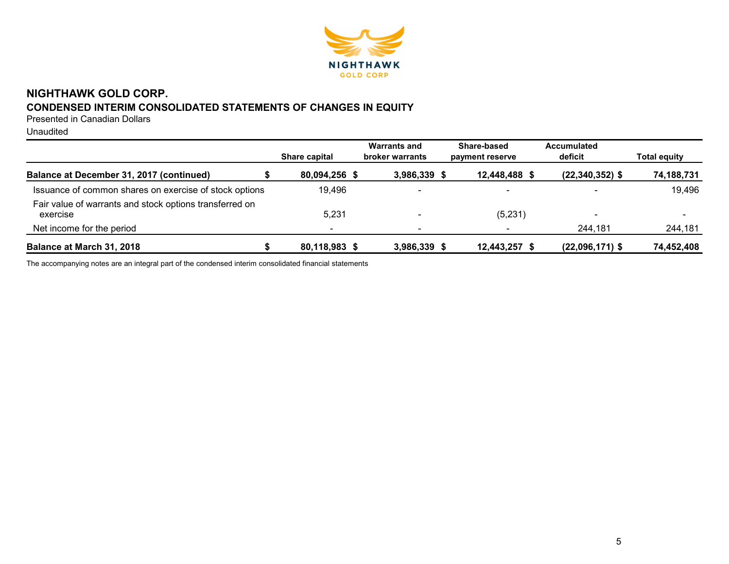

# NIGHTHAWK GOLD CORP. CONDENSED INTERIM CONSOLIDATED STATEMENTS OF CHANGES IN EQUITY

Presented in Canadian Dollars

Unaudited

|                                                                     | Share capital | <b>Warrants and</b><br><b>broker warrants</b> | Share-based<br>payment reserve | <b>Accumulated</b><br>deficit | <b>Total equity</b> |
|---------------------------------------------------------------------|---------------|-----------------------------------------------|--------------------------------|-------------------------------|---------------------|
| Balance at December 31, 2017 (continued)                            | 80,094,256 \$ | 3,986,339 \$                                  | 12,448,488 \$                  | $(22, 340, 352)$ \$           | 74,188,731          |
| Issuance of common shares on exercise of stock options              | 19.496        | $\overline{\phantom{0}}$                      | $\blacksquare$                 |                               | 19,496              |
| Fair value of warrants and stock options transferred on<br>exercise | 5,231         | $\overline{\phantom{0}}$                      | (5,231)                        | -                             |                     |
| Net income for the period                                           |               |                                               |                                | 244,181                       | 244,181             |
| Balance at March 31, 2018                                           | 80,118,983 \$ | 3,986,339 \$                                  | 12,443,257 \$                  | $(22,096,171)$ \$             | 74,452,408          |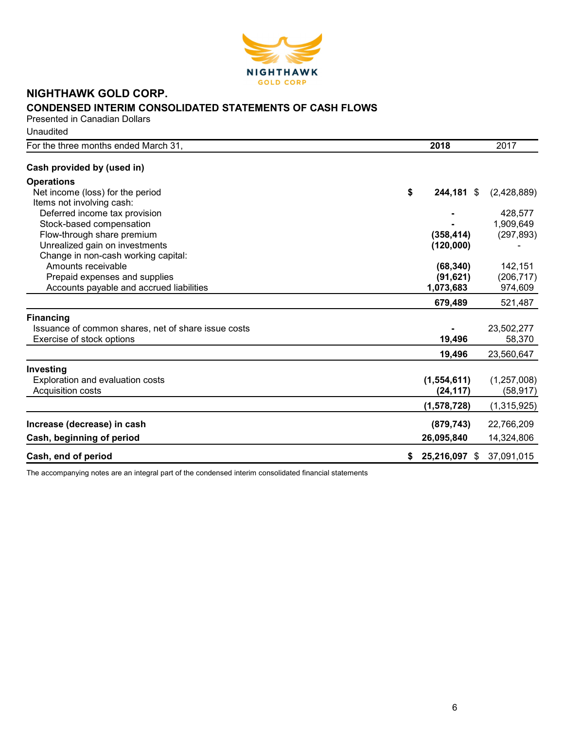

# NIGHTHAWK GOLD CORP. CONDENSED INTERIM CONSOLIDATED STATEMENTS OF CASH FLOWS

Presented in Canadian Dollars **Unaudited** 

| For the three months ended March 31,                | 2018             | 2017        |
|-----------------------------------------------------|------------------|-------------|
| Cash provided by (used in)                          |                  |             |
| <b>Operations</b>                                   |                  |             |
| Net income (loss) for the period                    | \$<br>244,181 \$ | (2,428,889) |
| Items not involving cash:                           |                  |             |
| Deferred income tax provision                       |                  | 428,577     |
| Stock-based compensation                            |                  | 1,909,649   |
| Flow-through share premium                          | (358, 414)       | (297, 893)  |
| Unrealized gain on investments                      | (120,000)        |             |
| Change in non-cash working capital:                 |                  |             |
| Amounts receivable                                  | (68, 340)        | 142,151     |
| Prepaid expenses and supplies                       | (91, 621)        | (206, 717)  |
| Accounts payable and accrued liabilities            | 1,073,683        | 974,609     |
|                                                     | 679,489          | 521,487     |
| <b>Financing</b>                                    |                  |             |
| Issuance of common shares, net of share issue costs |                  | 23,502,277  |
| Exercise of stock options                           | 19,496           | 58,370      |
|                                                     | 19,496           | 23,560,647  |
| Investing                                           |                  |             |
| Exploration and evaluation costs                    | (1,554,611)      | (1,257,008) |
| Acquisition costs                                   | (24, 117)        | (58, 917)   |
|                                                     | (1,578,728)      | (1,315,925) |
| Increase (decrease) in cash                         | (879, 743)       | 22,766,209  |
| Cash, beginning of period                           | 26,095,840       | 14,324,806  |
| Cash, end of period                                 | 25,216,097 \$    | 37,091,015  |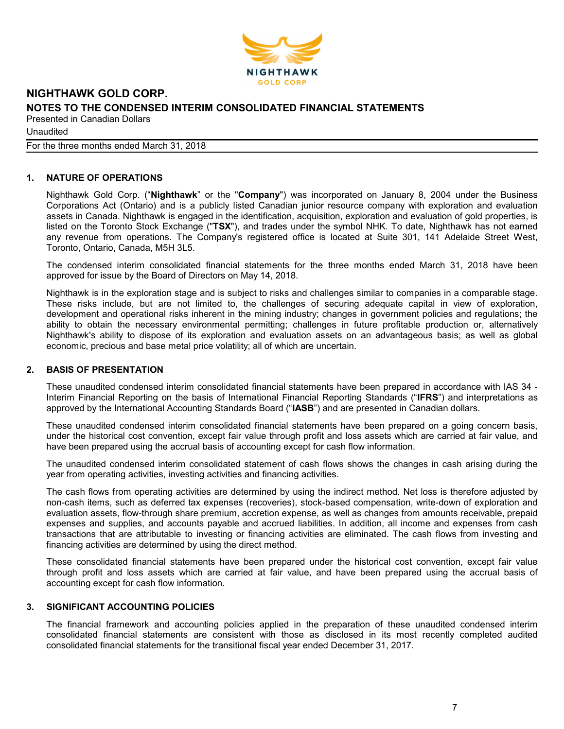

Unaudited

For the three months ended March 31, 2018

# 1. NATURE OF OPERATIONS

Nighthawk Gold Corp. ("Nighthawk" or the "Company") was incorporated on January 8, 2004 under the Business Corporations Act (Ontario) and is a publicly listed Canadian junior resource company with exploration and evaluation assets in Canada. Nighthawk is engaged in the identification, acquisition, exploration and evaluation of gold properties, is listed on the Toronto Stock Exchange ("TSX"), and trades under the symbol NHK. To date, Nighthawk has not earned any revenue from operations. The Company's registered office is located at Suite 301, 141 Adelaide Street West, Toronto, Ontario, Canada, M5H 3L5.

The condensed interim consolidated financial statements for the three months ended March 31, 2018 have been approved for issue by the Board of Directors on May 14, 2018.

Nighthawk is in the exploration stage and is subject to risks and challenges similar to companies in a comparable stage. These risks include, but are not limited to, the challenges of securing adequate capital in view of exploration, development and operational risks inherent in the mining industry; changes in government policies and regulations; the ability to obtain the necessary environmental permitting; challenges in future profitable production or, alternatively Nighthawk's ability to dispose of its exploration and evaluation assets on an advantageous basis; as well as global economic, precious and base metal price volatility; all of which are uncertain.

#### 2. BASIS OF PRESENTATION

These unaudited condensed interim consolidated financial statements have been prepared in accordance with IAS 34 - Interim Financial Reporting on the basis of International Financial Reporting Standards ("IFRS") and interpretations as approved by the International Accounting Standards Board ("IASB") and are presented in Canadian dollars.

These unaudited condensed interim consolidated financial statements have been prepared on a going concern basis, under the historical cost convention, except fair value through profit and loss assets which are carried at fair value, and have been prepared using the accrual basis of accounting except for cash flow information.

The unaudited condensed interim consolidated statement of cash flows shows the changes in cash arising during the year from operating activities, investing activities and financing activities.

The cash flows from operating activities are determined by using the indirect method. Net loss is therefore adjusted by non-cash items, such as deferred tax expenses (recoveries), stock-based compensation, write-down of exploration and evaluation assets, flow-through share premium, accretion expense, as well as changes from amounts receivable, prepaid expenses and supplies, and accounts payable and accrued liabilities. In addition, all income and expenses from cash transactions that are attributable to investing or financing activities are eliminated. The cash flows from investing and financing activities are determined by using the direct method.

These consolidated financial statements have been prepared under the historical cost convention, except fair value through profit and loss assets which are carried at fair value, and have been prepared using the accrual basis of accounting except for cash flow information.

# 3. SIGNIFICANT ACCOUNTING POLICIES

The financial framework and accounting policies applied in the preparation of these unaudited condensed interim consolidated financial statements are consistent with those as disclosed in its most recently completed audited consolidated financial statements for the transitional fiscal year ended December 31, 2017.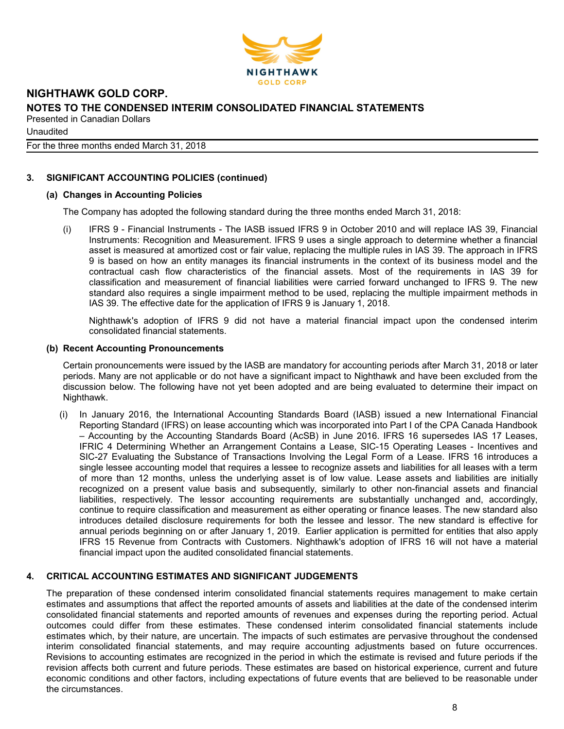

**Unaudited** 

For the three months ended March 31, 2018

## 3. SIGNIFICANT ACCOUNTING POLICIES (continued)

#### (a) Changes in Accounting Policies

The Company has adopted the following standard during the three months ended March 31, 2018:

(i) IFRS 9 - Financial Instruments - The IASB issued IFRS 9 in October 2010 and will replace IAS 39, Financial Instruments: Recognition and Measurement. IFRS 9 uses a single approach to determine whether a financial asset is measured at amortized cost or fair value, replacing the multiple rules in IAS 39. The approach in IFRS 9 is based on how an entity manages its financial instruments in the context of its business model and the contractual cash flow characteristics of the financial assets. Most of the requirements in IAS 39 for classification and measurement of financial liabilities were carried forward unchanged to IFRS 9. The new standard also requires a single impairment method to be used, replacing the multiple impairment methods in IAS 39. The effective date for the application of IFRS 9 is January 1, 2018.

Nighthawk's adoption of IFRS 9 did not have a material financial impact upon the condensed interim consolidated financial statements.

#### (b) Recent Accounting Pronouncements

Certain pronouncements were issued by the IASB are mandatory for accounting periods after March 31, 2018 or later periods. Many are not applicable or do not have a significant impact to Nighthawk and have been excluded from the discussion below. The following have not yet been adopted and are being evaluated to determine their impact on Nighthawk.

(i) In January 2016, the International Accounting Standards Board (IASB) issued a new International Financial Reporting Standard (IFRS) on lease accounting which was incorporated into Part I of the CPA Canada Handbook – Accounting by the Accounting Standards Board (AcSB) in June 2016. IFRS 16 supersedes IAS 17 Leases, IFRIC 4 Determining Whether an Arrangement Contains a Lease, SIC-15 Operating Leases - Incentives and SIC-27 Evaluating the Substance of Transactions Involving the Legal Form of a Lease. IFRS 16 introduces a single lessee accounting model that requires a lessee to recognize assets and liabilities for all leases with a term of more than 12 months, unless the underlying asset is of low value. Lease assets and liabilities are initially recognized on a present value basis and subsequently, similarly to other non-financial assets and financial liabilities, respectively. The lessor accounting requirements are substantially unchanged and, accordingly, continue to require classification and measurement as either operating or finance leases. The new standard also introduces detailed disclosure requirements for both the lessee and lessor. The new standard is effective for annual periods beginning on or after January 1, 2019. Earlier application is permitted for entities that also apply IFRS 15 Revenue from Contracts with Customers. Nighthawk's adoption of IFRS 16 will not have a material financial impact upon the audited consolidated financial statements.

#### 4. CRITICAL ACCOUNTING ESTIMATES AND SIGNIFICANT JUDGEMENTS

The preparation of these condensed interim consolidated financial statements requires management to make certain estimates and assumptions that affect the reported amounts of assets and liabilities at the date of the condensed interim consolidated financial statements and reported amounts of revenues and expenses during the reporting period. Actual outcomes could differ from these estimates. These condensed interim consolidated financial statements include estimates which, by their nature, are uncertain. The impacts of such estimates are pervasive throughout the condensed interim consolidated financial statements, and may require accounting adjustments based on future occurrences. Revisions to accounting estimates are recognized in the period in which the estimate is revised and future periods if the revision affects both current and future periods. These estimates are based on historical experience, current and future economic conditions and other factors, including expectations of future events that are believed to be reasonable under the circumstances.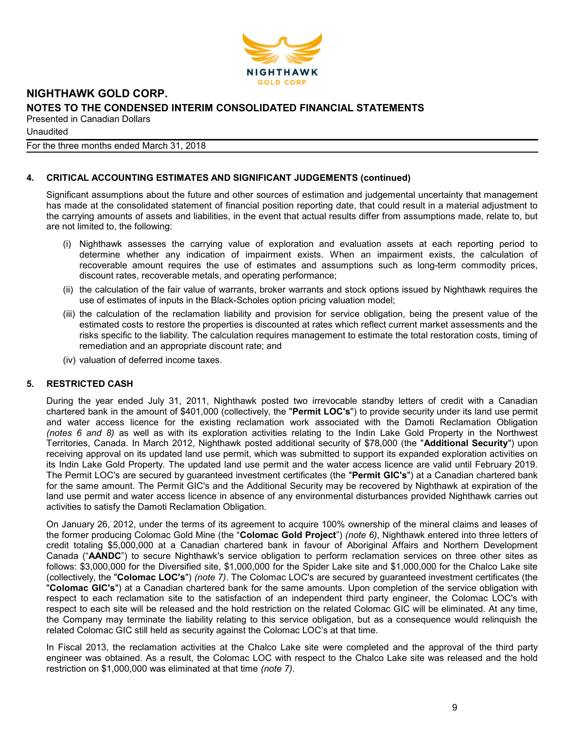

**Unaudited** 

For the three months ended March 31, 2018

#### 4. CRITICAL ACCOUNTING ESTIMATES AND SIGNIFICANT JUDGEMENTS (continued)

Significant assumptions about the future and other sources of estimation and judgemental uncertainty that management has made at the consolidated statement of financial position reporting date, that could result in a material adjustment to the carrying amounts of assets and liabilities, in the event that actual results differ from assumptions made, relate to, but are not limited to, the following:

- (i) Nighthawk assesses the carrying value of exploration and evaluation assets at each reporting period to determine whether any indication of impairment exists. When an impairment exists, the calculation of recoverable amount requires the use of estimates and assumptions such as long-term commodity prices, discount rates, recoverable metals, and operating performance;
- (ii) the calculation of the fair value of warrants, broker warrants and stock options issued by Nighthawk requires the use of estimates of inputs in the Black-Scholes option pricing valuation model;
- (iii) the calculation of the reclamation liability and provision for service obligation, being the present value of the estimated costs to restore the properties is discounted at rates which reflect current market assessments and the risks specific to the liability. The calculation requires management to estimate the total restoration costs, timing of remediation and an appropriate discount rate; and
- (iv) valuation of deferred income taxes.

#### 5. RESTRICTED CASH

During the year ended July 31, 2011, Nighthawk posted two irrevocable standby letters of credit with a Canadian chartered bank in the amount of \$401,000 (collectively, the "Permit LOC's") to provide security under its land use permit and water access licence for the existing reclamation work associated with the Damoti Reclamation Obligation (notes 6 and 8) as well as with its exploration activities relating to the Indin Lake Gold Property in the Northwest Territories, Canada. In March 2012, Nighthawk posted additional security of \$78,000 (the "Additional Security") upon receiving approval on its updated land use permit, which was submitted to support its expanded exploration activities on its Indin Lake Gold Property. The updated land use permit and the water access licence are valid until February 2019. The Permit LOC's are secured by guaranteed investment certificates (the "Permit GIC's") at a Canadian chartered bank for the same amount. The Permit GIC's and the Additional Security may be recovered by Nighthawk at expiration of the land use permit and water access licence in absence of any environmental disturbances provided Nighthawk carries out activities to satisfy the Damoti Reclamation Obligation.

On January 26, 2012, under the terms of its agreement to acquire 100% ownership of the mineral claims and leases of the former producing Colomac Gold Mine (the "Colomac Gold Project") (note 6), Nighthawk entered into three letters of credit totaling \$5,000,000 at a Canadian chartered bank in favour of Aboriginal Affairs and Northern Development Canada ("AANDC") to secure Nighthawk's service obligation to perform reclamation services on three other sites as follows: \$3,000,000 for the Diversified site, \$1,000,000 for the Spider Lake site and \$1,000,000 for the Chalco Lake site (collectively, the "Colomac LOC's") (note 7). The Colomac LOC's are secured by guaranteed investment certificates (the "Colomac GIC's") at a Canadian chartered bank for the same amounts. Upon completion of the service obligation with respect to each reclamation site to the satisfaction of an independent third party engineer, the Colomac LOC's with respect to each site will be released and the hold restriction on the related Colomac GIC will be eliminated. At any time, the Company may terminate the liability relating to this service obligation, but as a consequence would relinquish the related Colomac GIC still held as security against the Colomac LOC's at that time.

In Fiscal 2013, the reclamation activities at the Chalco Lake site were completed and the approval of the third party engineer was obtained. As a result, the Colomac LOC with respect to the Chalco Lake site was released and the hold restriction on \$1,000,000 was eliminated at that time (note 7).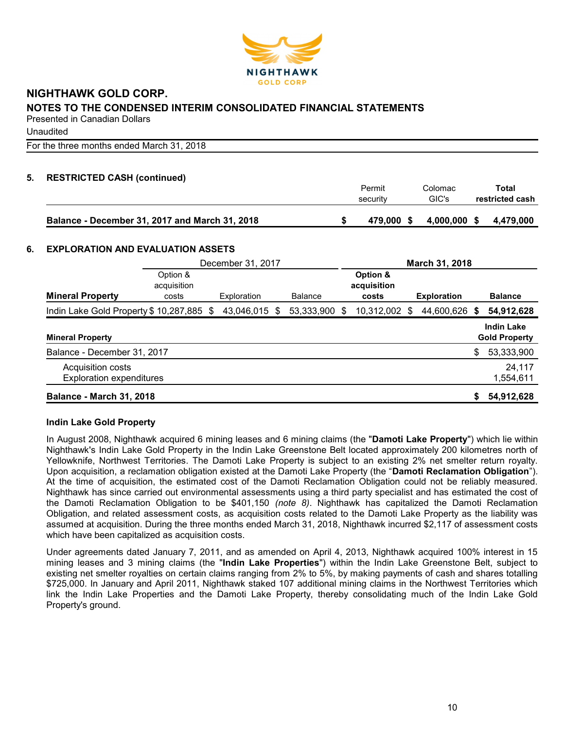

**Unaudited** 

For the three months ended March 31, 2018

# 5. RESTRICTED CASH (continued)

|                                                | Permit<br>security | Colomac<br>GIC's | Total<br>restricted cash |
|------------------------------------------------|--------------------|------------------|--------------------------|
| Balance - December 31, 2017 and March 31, 2018 | 479.000<br>- S     | 4,000,000 \$     | 4.479.000                |

#### 6. EXPLORATION AND EVALUATION ASSETS

|                                                      |                         | December 31, 2017 |     |                |   | March 31, 2018          |    |                    |    |                                           |  |
|------------------------------------------------------|-------------------------|-------------------|-----|----------------|---|-------------------------|----|--------------------|----|-------------------------------------------|--|
|                                                      | Option &<br>acquisition |                   |     |                |   | Option &<br>acquisition |    |                    |    |                                           |  |
| <b>Mineral Property</b>                              | costs                   | Exploration       |     | <b>Balance</b> |   | costs                   |    | <b>Exploration</b> |    | <b>Balance</b>                            |  |
| Indin Lake Gold Property \$10,287,885 \$             |                         | 43,046,015        | -\$ | 53,333,900     | S | 10,312,002              | \$ | 44,600,626         | S  | 54,912,628                                |  |
| <b>Mineral Property</b>                              |                         |                   |     |                |   |                         |    |                    |    | <b>Indin Lake</b><br><b>Gold Property</b> |  |
| Balance - December 31, 2017                          |                         |                   |     |                |   |                         |    |                    | \$ | 53,333,900                                |  |
| Acquisition costs<br><b>Exploration expenditures</b> |                         |                   |     |                |   |                         |    |                    |    | 24,117<br>1,554,611                       |  |
| <b>Balance - March 31, 2018</b>                      |                         |                   |     |                |   |                         |    |                    | \$ | 54,912,628                                |  |

#### Indin Lake Gold Property

In August 2008, Nighthawk acquired 6 mining leases and 6 mining claims (the "Damoti Lake Property") which lie within Nighthawk's Indin Lake Gold Property in the Indin Lake Greenstone Belt located approximately 200 kilometres north of Yellowknife, Northwest Territories. The Damoti Lake Property is subject to an existing 2% net smelter return royalty. Upon acquisition, a reclamation obligation existed at the Damoti Lake Property (the "Damoti Reclamation Obligation"). At the time of acquisition, the estimated cost of the Damoti Reclamation Obligation could not be reliably measured. Nighthawk has since carried out environmental assessments using a third party specialist and has estimated the cost of the Damoti Reclamation Obligation to be \$401,150 (note 8). Nighthawk has capitalized the Damoti Reclamation Obligation, and related assessment costs, as acquisition costs related to the Damoti Lake Property as the liability was assumed at acquisition. During the three months ended March 31, 2018, Nighthawk incurred \$2,117 of assessment costs which have been capitalized as acquisition costs.

Under agreements dated January 7, 2011, and as amended on April 4, 2013, Nighthawk acquired 100% interest in 15 mining leases and 3 mining claims (the "Indin Lake Properties") within the Indin Lake Greenstone Belt, subject to existing net smelter royalties on certain claims ranging from 2% to 5%, by making payments of cash and shares totalling \$725,000. In January and April 2011, Nighthawk staked 107 additional mining claims in the Northwest Territories which link the Indin Lake Properties and the Damoti Lake Property, thereby consolidating much of the Indin Lake Gold Property's ground.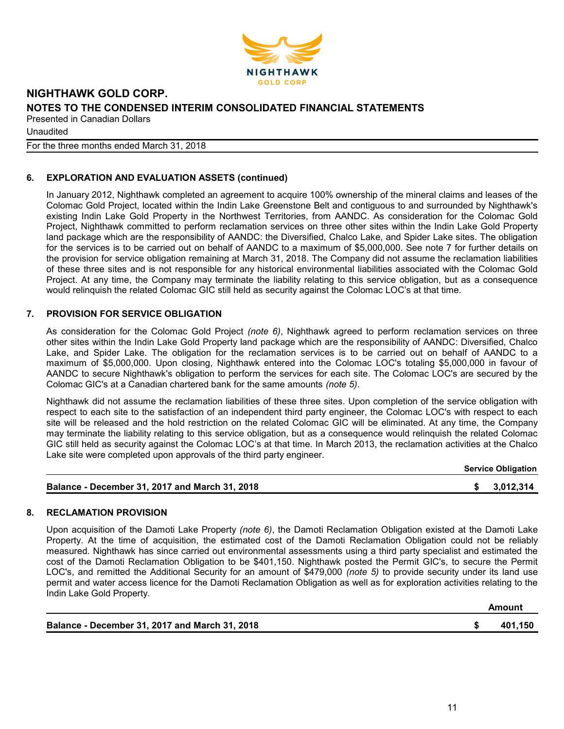

**Unaudited** 

For the three months ended March 31, 2018

# 6. EXPLORATION AND EVALUATION ASSETS (continued)

In January 2012, Nighthawk completed an agreement to acquire 100% ownership of the mineral claims and leases of the Colomac Gold Project, located within the Indin Lake Greenstone Belt and contiguous to and surrounded by Nighthawk's existing Indin Lake Gold Property in the Northwest Territories, from AANDC. As consideration for the Colomac Gold Project, Nighthawk committed to perform reclamation services on three other sites within the Indin Lake Gold Property land package which are the responsibility of AANDC: the Diversified, Chalco Lake, and Spider Lake sites. The obligation for the services is to be carried out on behalf of AANDC to a maximum of \$5,000,000. See note 7 for further details on the provision for service obligation remaining at March 31, 2018. The Company did not assume the reclamation liabilities of these three sites and is not responsible for any historical environmental liabilities associated with the Colomac Gold Project. At any time, the Company may terminate the liability relating to this service obligation, but as a consequence would relinquish the related Colomac GIC still held as security against the Colomac LOC's at that time.

# 7. PROVISION FOR SERVICE OBLIGATION

As consideration for the Colomac Gold Project (note 6), Nighthawk agreed to perform reclamation services on three other sites within the Indin Lake Gold Property land package which are the responsibility of AANDC: Diversified, Chalco Lake, and Spider Lake. The obligation for the reclamation services is to be carried out on behalf of AANDC to a maximum of \$5,000,000. Upon closing, Nighthawk entered into the Colomac LOC's totaling \$5,000,000 in favour of AANDC to secure Nighthawk's obligation to perform the services for each site. The Colomac LOC's are secured by the Colomac GIC's at a Canadian chartered bank for the same amounts (note 5).

Nighthawk did not assume the reclamation liabilities of these three sites. Upon completion of the service obligation with respect to each site to the satisfaction of an independent third party engineer, the Colomac LOC's with respect to each site will be released and the hold restriction on the related Colomac GIC will be eliminated. At any time, the Company may terminate the liability relating to this service obligation, but as a consequence would relinquish the related Colomac GIC still held as security against the Colomac LOC's at that time. In March 2013, the reclamation activities at the Chalco Lake site were completed upon approvals of the third party engineer.

|                                                | <b>Service Obligation</b> |
|------------------------------------------------|---------------------------|
| Balance - December 31, 2017 and March 31, 2018 | \$3,012,314               |

#### 8. RECLAMATION PROVISION

Upon acquisition of the Damoti Lake Property (note 6), the Damoti Reclamation Obligation existed at the Damoti Lake Property. At the time of acquisition, the estimated cost of the Damoti Reclamation Obligation could not be reliably measured. Nighthawk has since carried out environmental assessments using a third party specialist and estimated the cost of the Damoti Reclamation Obligation to be \$401,150. Nighthawk posted the Permit GIC's, to secure the Permit LOC's, and remitted the Additional Security for an amount of \$479,000 (note 5) to provide security under its land use permit and water access licence for the Damoti Reclamation Obligation as well as for exploration activities relating to the Indin Lake Gold Property.

| Balance - December 31, 2017 and March 31, 2018 | 401,150 |
|------------------------------------------------|---------|

Amount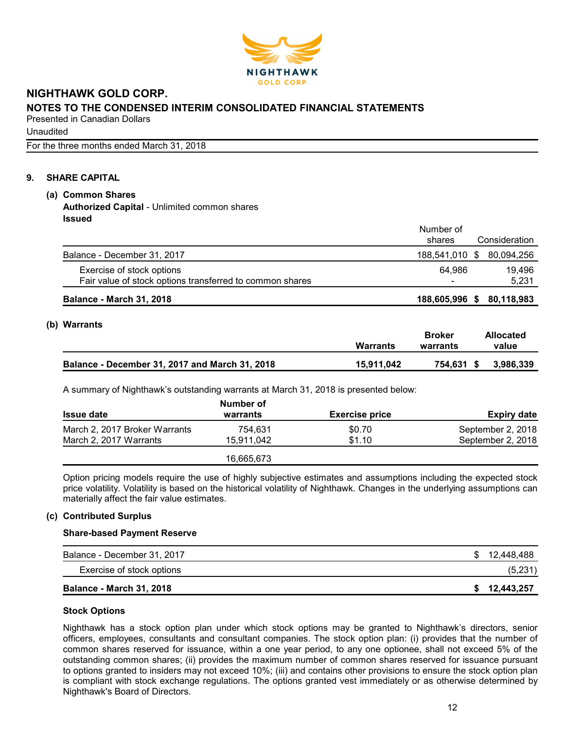

**Unaudited** 

For the three months ended March 31, 2018

# 9. SHARE CAPITAL

# (a) Common Shares

Authorized Capital - Unlimited common shares Issued

|                                                          | Number of<br>shares      | Consideration             |
|----------------------------------------------------------|--------------------------|---------------------------|
| Balance - December 31, 2017                              |                          | 188,541,010 \$ 80,094,256 |
| Exercise of stock options                                | 64.986                   | 19.496                    |
| Fair value of stock options transferred to common shares | $\overline{\phantom{a}}$ | 5.231                     |
| <b>Balance - March 31, 2018</b>                          | 188,605,996 \$           | 80,118,983                |

# (b) Warrants

|                                                | <b>Warrants</b> | Broker<br>warrants | <b>Allocated</b><br>value |
|------------------------------------------------|-----------------|--------------------|---------------------------|
| Balance - December 31, 2017 and March 31, 2018 | 15.911.042      | 754.631 \$         | 3,986,339                 |

A summary of Nighthawk's outstanding warrants at March 31, 2018 is presented below:

|                               | Number of  |                       |                    |
|-------------------------------|------------|-----------------------|--------------------|
| <b>Issue date</b>             | warrants   | <b>Exercise price</b> | <b>Expiry date</b> |
| March 2, 2017 Broker Warrants | 754.631    | \$0.70                | September 2, 2018  |
| March 2, 2017 Warrants        | 15.911.042 | \$1.10                | September 2, 2018  |
|                               | 16,665,673 |                       |                    |

Option pricing models require the use of highly subjective estimates and assumptions including the expected stock price volatility. Volatility is based on the historical volatility of Nighthawk. Changes in the underlying assumptions can materially affect the fair value estimates.

# (c) Contributed Surplus

#### Share-based Payment Reserve

| Balance - December 31, 2017     | \$12,448,488 |
|---------------------------------|--------------|
| Exercise of stock options       | (5,231)      |
| <b>Balance - March 31, 2018</b> | \$12,443,257 |

# Stock Options

Nighthawk has a stock option plan under which stock options may be granted to Nighthawk's directors, senior officers, employees, consultants and consultant companies. The stock option plan: (i) provides that the number of common shares reserved for issuance, within a one year period, to any one optionee, shall not exceed 5% of the outstanding common shares; (ii) provides the maximum number of common shares reserved for issuance pursuant to options granted to insiders may not exceed 10%; (iii) and contains other provisions to ensure the stock option plan is compliant with stock exchange regulations. The options granted vest immediately or as otherwise determined by Nighthawk's Board of Directors.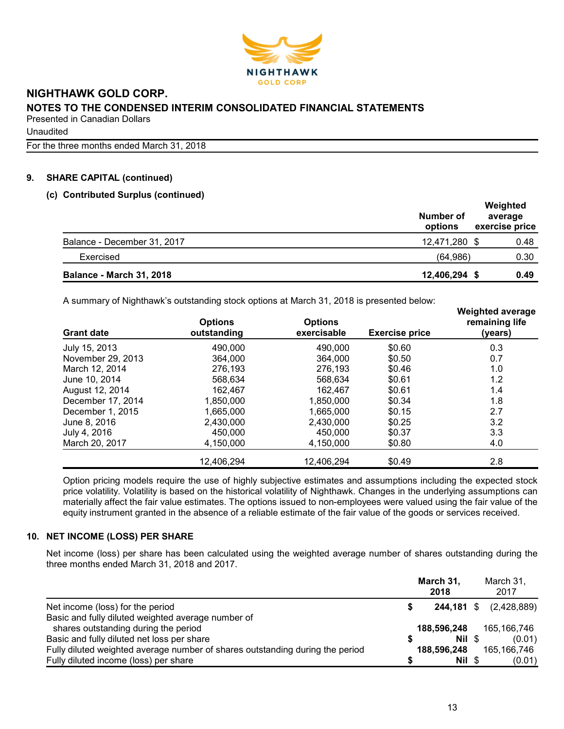

Unaudited

For the three months ended March 31, 2018

# 9. SHARE CAPITAL (continued)

#### (c) Contributed Surplus (continued)

|                                 | Number of<br>options | Weighted<br>average<br>exercise price |
|---------------------------------|----------------------|---------------------------------------|
| Balance - December 31, 2017     | 12,471,280 \$        | 0.48                                  |
| Exercised                       | (64,986)             | 0.30                                  |
| <b>Balance - March 31, 2018</b> | 12,406,294 \$        | 0.49                                  |

A summary of Nighthawk's outstanding stock options at March 31, 2018 is presented below:

| <b>Grant date</b> | <b>Options</b><br>outstanding | <b>Options</b><br>exercisable | <b>Exercise price</b> | <b>Weighted average</b><br>remaining life<br>(years) |
|-------------------|-------------------------------|-------------------------------|-----------------------|------------------------------------------------------|
| July 15, 2013     | 490,000                       | 490,000                       | \$0.60                | 0.3                                                  |
| November 29, 2013 | 364,000                       | 364,000                       | \$0.50                | 0.7                                                  |
| March 12, 2014    | 276,193                       | 276,193                       | \$0.46                | 1.0                                                  |
| June 10, 2014     | 568,634                       | 568.634                       | \$0.61                | 1.2                                                  |
| August 12, 2014   | 162,467                       | 162.467                       | \$0.61                | 1.4                                                  |
| December 17, 2014 | 1,850,000                     | 1.850.000                     | \$0.34                | 1.8                                                  |
| December 1, 2015  | 1,665,000                     | 1,665,000                     | \$0.15                | 2.7                                                  |
| June 8, 2016      | 2,430,000                     | 2.430.000                     | \$0.25                | 3.2                                                  |
| July 4, 2016      | 450,000                       | 450,000                       | \$0.37                | 3.3                                                  |
| March 20, 2017    | 4,150,000                     | 4,150,000                     | \$0.80                | 4.0                                                  |
|                   | 12.406.294                    | 12,406,294                    | \$0.49                | 2.8                                                  |

Option pricing models require the use of highly subjective estimates and assumptions including the expected stock price volatility. Volatility is based on the historical volatility of Nighthawk. Changes in the underlying assumptions can materially affect the fair value estimates. The options issued to non-employees were valued using the fair value of the equity instrument granted in the absence of a reliable estimate of the fair value of the goods or services received.

# 10. NET INCOME (LOSS) PER SHARE

Net income (loss) per share has been calculated using the weighted average number of shares outstanding during the three months ended March 31, 2018 and 2017.

|                                                                               |   | March 31,<br>2018 | March 31,<br>2017             |
|-------------------------------------------------------------------------------|---|-------------------|-------------------------------|
| Net income (loss) for the period                                              |   |                   | <b>244,181</b> \$ (2,428,889) |
| Basic and fully diluted weighted average number of                            |   |                   |                               |
| shares outstanding during the period                                          |   | 188,596,248       | 165,166,746                   |
| Basic and fully diluted net loss per share                                    | S | Nil \$            | (0.01)                        |
| Fully diluted weighted average number of shares outstanding during the period |   | 188,596,248       | 165,166,746                   |
| Fully diluted income (loss) per share                                         |   | Nil \$            | (0.01)                        |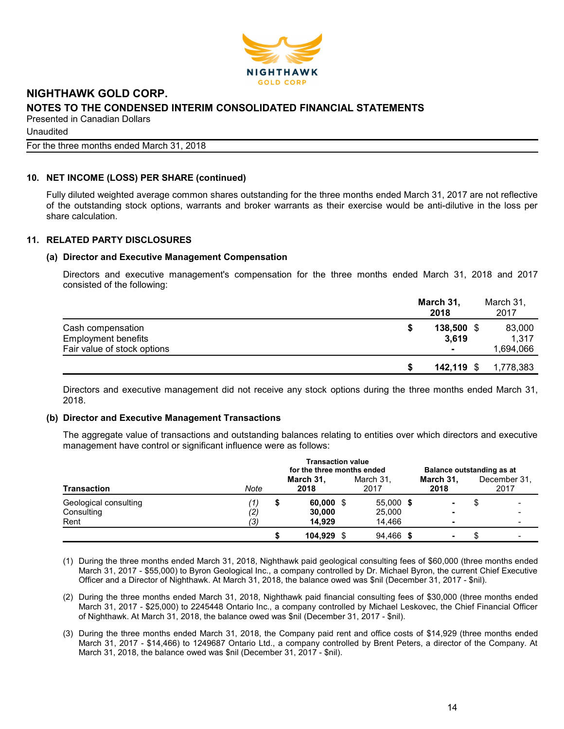

**Unaudited** 

For the three months ended March 31, 2018

# 10. NET INCOME (LOSS) PER SHARE (continued)

Fully diluted weighted average common shares outstanding for the three months ended March 31, 2017 are not reflective of the outstanding stock options, warrants and broker warrants as their exercise would be anti-dilutive in the loss per share calculation.

# 11. RELATED PARTY DISCLOSURES

#### (a) Director and Executive Management Compensation

Directors and executive management's compensation for the three months ended March 31, 2018 and 2017 consisted of the following:

|                             | March 31,<br>2018 | March 31,<br>2017 |
|-----------------------------|-------------------|-------------------|
| Cash compensation           | 138,500           | 83,000            |
| <b>Employment benefits</b>  | 3.619             | 1.317             |
| Fair value of stock options | ۰                 | 1,694,066         |
|                             | $142,119$ \$      | 1,778,383         |

Directors and executive management did not receive any stock options during the three months ended March 31, 2018.

#### (b) Director and Executive Management Transactions

The aggregate value of transactions and outstanding balances relating to entities over which directors and executive management have control or significant influence were as follows:

|                       | <b>Transaction value</b><br>for the three months ended |   |                   |  |                   | Balance outstanding as at |  |                      |  |
|-----------------------|--------------------------------------------------------|---|-------------------|--|-------------------|---------------------------|--|----------------------|--|
| <b>Transaction</b>    | Note                                                   |   | March 31,<br>2018 |  | March 31.<br>2017 | March 31.<br>2018         |  | December 31.<br>2017 |  |
| Geological consulting | $\left(1\right)$                                       | S | $60,000$ \$       |  | 55,000 \$         | ۰                         |  |                      |  |
| Consulting<br>Rent    | (2)<br>(3)                                             |   | 30,000<br>14.929  |  | 25,000<br>14.466  | ٠                         |  |                      |  |
|                       |                                                        |   | 104.929           |  | 94,466 \$         | $\blacksquare$            |  |                      |  |

- (1) During the three months ended March 31, 2018, Nighthawk paid geological consulting fees of \$60,000 (three months ended March 31, 2017 - \$55,000) to Byron Geological Inc., a company controlled by Dr. Michael Byron, the current Chief Executive Officer and a Director of Nighthawk. At March 31, 2018, the balance owed was \$nil (December 31, 2017 - \$nil).
- (2) During the three months ended March 31, 2018, Nighthawk paid financial consulting fees of \$30,000 (three months ended March 31, 2017 - \$25,000) to 2245448 Ontario Inc., a company controlled by Michael Leskovec, the Chief Financial Officer of Nighthawk. At March 31, 2018, the balance owed was \$nil (December 31, 2017 - \$nil).
- (3) During the three months ended March 31, 2018, the Company paid rent and office costs of \$14,929 (three months ended March 31, 2017 - \$14,466) to 1249687 Ontario Ltd., a company controlled by Brent Peters, a director of the Company. At March 31, 2018, the balance owed was \$nil (December 31, 2017 - \$nil).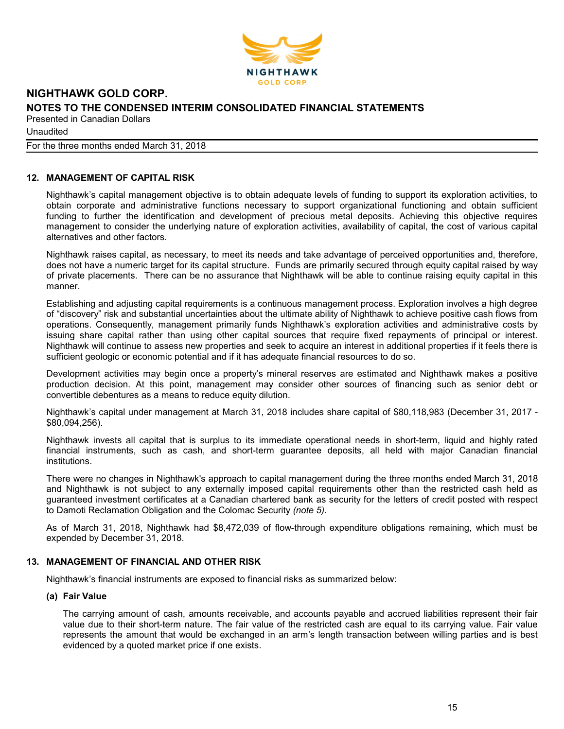

**Unaudited** 

For the three months ended March 31, 2018

## 12. MANAGEMENT OF CAPITAL RISK

Nighthawk's capital management objective is to obtain adequate levels of funding to support its exploration activities, to obtain corporate and administrative functions necessary to support organizational functioning and obtain sufficient funding to further the identification and development of precious metal deposits. Achieving this objective requires management to consider the underlying nature of exploration activities, availability of capital, the cost of various capital alternatives and other factors.

Nighthawk raises capital, as necessary, to meet its needs and take advantage of perceived opportunities and, therefore, does not have a numeric target for its capital structure. Funds are primarily secured through equity capital raised by way of private placements. There can be no assurance that Nighthawk will be able to continue raising equity capital in this manner.

Establishing and adjusting capital requirements is a continuous management process. Exploration involves a high degree of "discovery" risk and substantial uncertainties about the ultimate ability of Nighthawk to achieve positive cash flows from operations. Consequently, management primarily funds Nighthawk's exploration activities and administrative costs by issuing share capital rather than using other capital sources that require fixed repayments of principal or interest. Nighthawk will continue to assess new properties and seek to acquire an interest in additional properties if it feels there is sufficient geologic or economic potential and if it has adequate financial resources to do so.

Development activities may begin once a property's mineral reserves are estimated and Nighthawk makes a positive production decision. At this point, management may consider other sources of financing such as senior debt or convertible debentures as a means to reduce equity dilution.

Nighthawk's capital under management at March 31, 2018 includes share capital of \$80,118,983 (December 31, 2017 - \$80,094,256).

Nighthawk invests all capital that is surplus to its immediate operational needs in short-term, liquid and highly rated financial instruments, such as cash, and short-term guarantee deposits, all held with major Canadian financial institutions.

There were no changes in Nighthawk's approach to capital management during the three months ended March 31, 2018 and Nighthawk is not subject to any externally imposed capital requirements other than the restricted cash held as guaranteed investment certificates at a Canadian chartered bank as security for the letters of credit posted with respect to Damoti Reclamation Obligation and the Colomac Security (note 5).

As of March 31, 2018, Nighthawk had \$8,472,039 of flow-through expenditure obligations remaining, which must be expended by December 31, 2018.

#### 13. MANAGEMENT OF FINANCIAL AND OTHER RISK

Nighthawk's financial instruments are exposed to financial risks as summarized below:

#### (a) Fair Value

The carrying amount of cash, amounts receivable, and accounts payable and accrued liabilities represent their fair value due to their short-term nature. The fair value of the restricted cash are equal to its carrying value. Fair value represents the amount that would be exchanged in an arm's length transaction between willing parties and is best evidenced by a quoted market price if one exists.